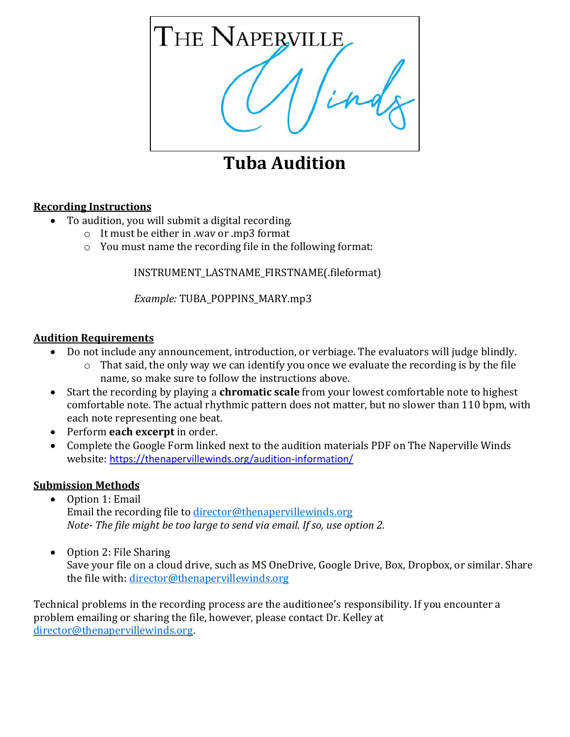

## **Tuba Audition**

## **Recording Instructions**

- To audition, you will submit a digital recording.
	- o It must be either in .wav or .mp3 format
	- o You must name the recording file in the following format:

INSTRUMENT\_LASTNAME\_FIRSTNAME(.fileformat)

*Example:* TUBA\_POPPINS\_MARY.mp3

## **Audition Requirements**

- Do not include any announcement, introduction, or verbiage. The evaluators will judge blindly.
	- o That said, the only way we can identify you once we evaluate the recording is by the file name, so make sure to follow the instructions above.
- Start the recording by playing a **chromatic scale** from your lowest comfortable note to highest comfortable note. The actual rhythmic pattern does not matter, but no slower than 110 bpm, with each note representing one beat.
- Perform **each excerpt** in order.
- Complete the Google Form linked next to the audition materials PDF on The Naperville Winds website: <https://thenapervillewinds.org/audition-information/>

## **Submission Methods**

- Option 1: Email Email the recording file to [director@thenapervillewinds.org](mailto:director@thenapervillewinds.org) *Note- The file might be too large to send via email. If so, use option 2.*
- Option 2: File Sharing Save your file on a cloud drive, such as MS OneDrive, Google Drive, Box, Dropbox, or similar. Share the file with: [director@thenapervillewinds.org](mailto:director@thenapervillewinds.org)

Technical problems in the recording process are the auditionee's responsibility. If you encounter a problem emailing or sharing the file, however, please contact Dr. Kelley at [director@thenapervillewinds.org.](mailto:director@thenapervillewinds.org)